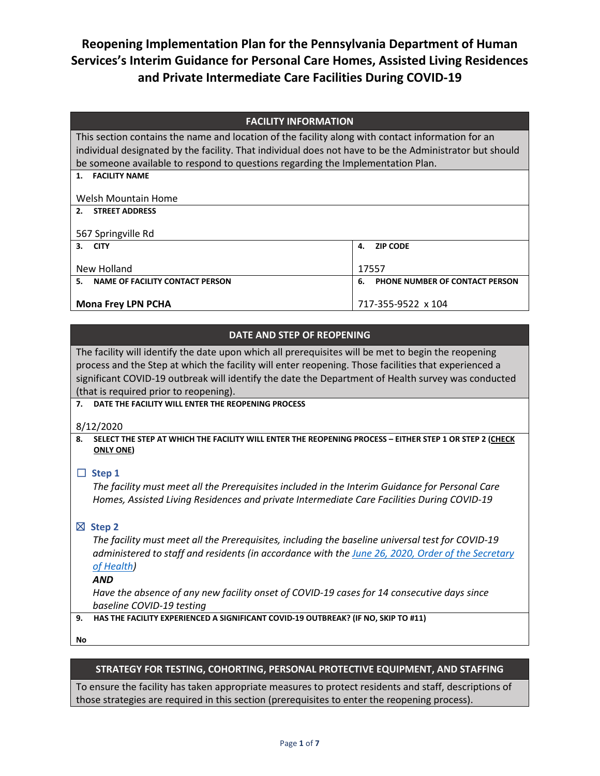**Reopening Implementation Plan for the Pennsylvania Department of Human Services's Interim Guidance for Personal Care Homes, Assisted Living Residences and Private Intermediate Care Facilities During COVID-19**

| <b>FACILITY INFORMATION</b> |  |
|-----------------------------|--|
|-----------------------------|--|

This section contains the name and location of the facility along with contact information for an individual designated by the facility. That individual does not have to be the Administrator but should be someone available to respond to questions regarding the Implementation Plan.

| Welsh Mountain Home                   |                                      |
|---------------------------------------|--------------------------------------|
| <b>STREET ADDRESS</b><br>2.           |                                      |
|                                       |                                      |
| 567 Springville Rd                    |                                      |
| 3. CITY                               | 4. ZIP CODE                          |
|                                       |                                      |
| New Holland                           | 17557                                |
| NAME OF FACILITY CONTACT PERSON<br>5. | PHONE NUMBER OF CONTACT PERSON<br>6. |
|                                       |                                      |
| <b>Mona Frey LPN PCHA</b>             | 717-355-9522 x 104                   |

#### **DATE AND STEP OF REOPENING**

The facility will identify the date upon which all prerequisites will be met to begin the reopening process and the Step at which the facility will enter reopening. Those facilities that experienced a significant COVID-19 outbreak will identify the date the Department of Health survey was conducted (that is required prior to reopening).

**7. DATE THE FACILITY WILL ENTER THE REOPENING PROCESS**

8/12/2020

**1. FACILITY NAME**

**8. SELECT THE STEP AT WHICH THE FACILITY WILL ENTER THE REOPENING PROCESS – EITHER STEP 1 OR STEP 2 (CHECK ONLY ONE)**

#### ☐ **Step 1**

*The facility must meet all the Prerequisites included in the Interim Guidance for Personal Care Homes, Assisted Living Residences and private Intermediate Care Facilities During COVID-19*

### ☒ **Step 2**

*The facility must meet all the Prerequisites, including the baseline universal test for COVID-19 administered to staff and residents (in accordance with th[e June 26, 2020, Order of the Secretary](https://www.health.pa.gov/topics/Documents/Diseases%20and%20Conditions/Order%20of%20SOH%20Universal%20Testing%20in%20SNF.pdf)  [of Health\)](https://www.health.pa.gov/topics/Documents/Diseases%20and%20Conditions/Order%20of%20SOH%20Universal%20Testing%20in%20SNF.pdf)*

#### *AND*

*Have the absence of any new facility onset of COVID-19 cases for 14 consecutive days since baseline COVID-19 testing*

#### **9. HAS THE FACILITY EXPERIENCED A SIGNIFICANT COVID-19 OUTBREAK? (IF NO, SKIP TO #11)**

**No**

### **STRATEGY FOR TESTING, COHORTING, PERSONAL PROTECTIVE EQUIPMENT, AND STAFFING**

To ensure the facility has taken appropriate measures to protect residents and staff, descriptions of those strategies are required in this section (prerequisites to enter the reopening process).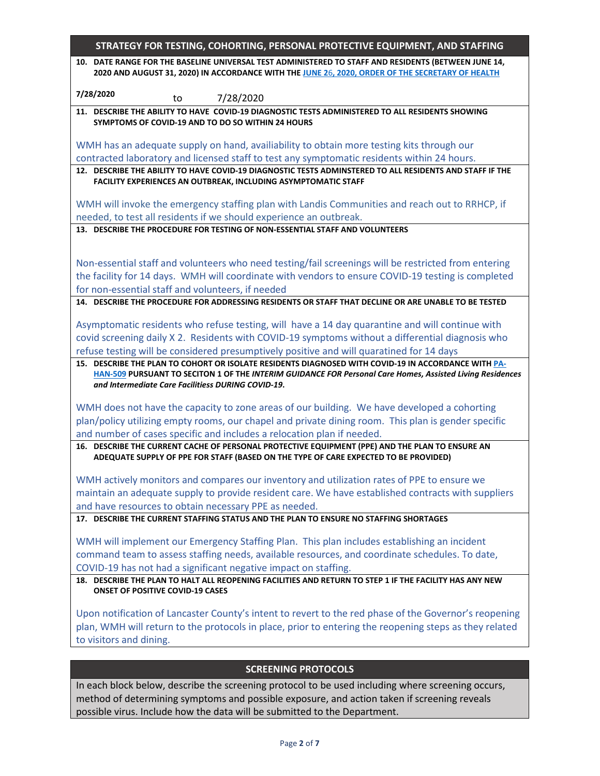| 2020 AND AUGUST 31, 2020) IN ACCORDANCE WITH THE JUNE 26, 2020, ORDER OF THE SECRETARY OF HEALTH<br>7/28/2020<br>7/28/2020<br>to<br>11. DESCRIBE THE ABILITY TO HAVE COVID-19 DIAGNOSTIC TESTS ADMINISTERED TO ALL RESIDENTS SHOWING<br>SYMPTOMS OF COVID-19 AND TO DO SO WITHIN 24 HOURS<br>WMH has an adequate supply on hand, availiability to obtain more testing kits through our<br>FACILITY EXPERIENCES AN OUTBREAK, INCLUDING ASYMPTOMATIC STAFF<br>WMH will invoke the emergency staffing plan with Landis Communities and reach out to RRHCP, if<br>needed, to test all residents if we should experience an outbreak.<br>13. DESCRIBE THE PROCEDURE FOR TESTING OF NON-ESSENTIAL STAFF AND VOLUNTEERS<br>Non-essential staff and volunteers who need testing/fail screenings will be restricted from entering<br>the facility for 14 days. WMH will coordinate with vendors to ensure COVID-19 testing is completed<br>for non-essential staff and volunteers, if needed<br>Asymptomatic residents who refuse testing, will have a 14 day quarantine and will continue with<br>covid screening daily X 2. Residents with COVID-19 symptoms without a differential diagnosis who<br>refuse testing will be considered presumptively positive and will quaratined for 14 days<br>15. DESCRIBE THE PLAN TO COHORT OR ISOLATE RESIDENTS DIAGNOSED WITH COVID-19 IN ACCORDANCE WITH PA-<br>HAN-509 PURSUANT TO SECITON 1 OF THE INTERIM GUIDANCE FOR Personal Care Homes, Assisted Living Residences<br>and Intermediate Care Facilitiess DURING COVID-19.<br>WMH does not have the capacity to zone areas of our building. We have developed a cohorting<br>plan/policy utilizing empty rooms, our chapel and private dining room. This plan is gender specific<br>and number of cases specific and includes a relocation plan if needed.<br>16. DESCRIBE THE CURRENT CACHE OF PERSONAL PROTECTIVE EQUIPMENT (PPE) AND THE PLAN TO ENSURE AN<br>ADEQUATE SUPPLY OF PPE FOR STAFF (BASED ON THE TYPE OF CARE EXPECTED TO BE PROVIDED)<br>maintain an adequate supply to provide resident care. We have established contracts with suppliers<br>WMH will implement our Emergency Staffing Plan. This plan includes establishing an incident<br><b>ONSET OF POSITIVE COVID-19 CASES</b><br><b>SCREENING PROTOCOLS</b> | STRATEGY FOR TESTING, COHORTING, PERSONAL PROTECTIVE EQUIPMENT, AND STAFFING                                                                                             |
|---------------------------------------------------------------------------------------------------------------------------------------------------------------------------------------------------------------------------------------------------------------------------------------------------------------------------------------------------------------------------------------------------------------------------------------------------------------------------------------------------------------------------------------------------------------------------------------------------------------------------------------------------------------------------------------------------------------------------------------------------------------------------------------------------------------------------------------------------------------------------------------------------------------------------------------------------------------------------------------------------------------------------------------------------------------------------------------------------------------------------------------------------------------------------------------------------------------------------------------------------------------------------------------------------------------------------------------------------------------------------------------------------------------------------------------------------------------------------------------------------------------------------------------------------------------------------------------------------------------------------------------------------------------------------------------------------------------------------------------------------------------------------------------------------------------------------------------------------------------------------------------------------------------------------------------------------------------------------------------------------------------------------------------------------------------------------------------------------------------------------------------------------------------------------------------------------------------------------------------------------------------------------------------------------------------------------|--------------------------------------------------------------------------------------------------------------------------------------------------------------------------|
|                                                                                                                                                                                                                                                                                                                                                                                                                                                                                                                                                                                                                                                                                                                                                                                                                                                                                                                                                                                                                                                                                                                                                                                                                                                                                                                                                                                                                                                                                                                                                                                                                                                                                                                                                                                                                                                                                                                                                                                                                                                                                                                                                                                                                                                                                                                           | 10. DATE RANGE FOR THE BASELINE UNIVERSAL TEST ADMINISTERED TO STAFF AND RESIDENTS (BETWEEN JUNE 14,                                                                     |
|                                                                                                                                                                                                                                                                                                                                                                                                                                                                                                                                                                                                                                                                                                                                                                                                                                                                                                                                                                                                                                                                                                                                                                                                                                                                                                                                                                                                                                                                                                                                                                                                                                                                                                                                                                                                                                                                                                                                                                                                                                                                                                                                                                                                                                                                                                                           |                                                                                                                                                                          |
|                                                                                                                                                                                                                                                                                                                                                                                                                                                                                                                                                                                                                                                                                                                                                                                                                                                                                                                                                                                                                                                                                                                                                                                                                                                                                                                                                                                                                                                                                                                                                                                                                                                                                                                                                                                                                                                                                                                                                                                                                                                                                                                                                                                                                                                                                                                           |                                                                                                                                                                          |
|                                                                                                                                                                                                                                                                                                                                                                                                                                                                                                                                                                                                                                                                                                                                                                                                                                                                                                                                                                                                                                                                                                                                                                                                                                                                                                                                                                                                                                                                                                                                                                                                                                                                                                                                                                                                                                                                                                                                                                                                                                                                                                                                                                                                                                                                                                                           |                                                                                                                                                                          |
|                                                                                                                                                                                                                                                                                                                                                                                                                                                                                                                                                                                                                                                                                                                                                                                                                                                                                                                                                                                                                                                                                                                                                                                                                                                                                                                                                                                                                                                                                                                                                                                                                                                                                                                                                                                                                                                                                                                                                                                                                                                                                                                                                                                                                                                                                                                           |                                                                                                                                                                          |
|                                                                                                                                                                                                                                                                                                                                                                                                                                                                                                                                                                                                                                                                                                                                                                                                                                                                                                                                                                                                                                                                                                                                                                                                                                                                                                                                                                                                                                                                                                                                                                                                                                                                                                                                                                                                                                                                                                                                                                                                                                                                                                                                                                                                                                                                                                                           |                                                                                                                                                                          |
|                                                                                                                                                                                                                                                                                                                                                                                                                                                                                                                                                                                                                                                                                                                                                                                                                                                                                                                                                                                                                                                                                                                                                                                                                                                                                                                                                                                                                                                                                                                                                                                                                                                                                                                                                                                                                                                                                                                                                                                                                                                                                                                                                                                                                                                                                                                           | contracted laboratory and licensed staff to test any symptomatic residents within 24 hours.                                                                              |
|                                                                                                                                                                                                                                                                                                                                                                                                                                                                                                                                                                                                                                                                                                                                                                                                                                                                                                                                                                                                                                                                                                                                                                                                                                                                                                                                                                                                                                                                                                                                                                                                                                                                                                                                                                                                                                                                                                                                                                                                                                                                                                                                                                                                                                                                                                                           | 12. DESCRIBE THE ABILITY TO HAVE COVID-19 DIAGNOSTIC TESTS ADMINSTERED TO ALL RESIDENTS AND STAFF IF THE                                                                 |
|                                                                                                                                                                                                                                                                                                                                                                                                                                                                                                                                                                                                                                                                                                                                                                                                                                                                                                                                                                                                                                                                                                                                                                                                                                                                                                                                                                                                                                                                                                                                                                                                                                                                                                                                                                                                                                                                                                                                                                                                                                                                                                                                                                                                                                                                                                                           |                                                                                                                                                                          |
|                                                                                                                                                                                                                                                                                                                                                                                                                                                                                                                                                                                                                                                                                                                                                                                                                                                                                                                                                                                                                                                                                                                                                                                                                                                                                                                                                                                                                                                                                                                                                                                                                                                                                                                                                                                                                                                                                                                                                                                                                                                                                                                                                                                                                                                                                                                           |                                                                                                                                                                          |
|                                                                                                                                                                                                                                                                                                                                                                                                                                                                                                                                                                                                                                                                                                                                                                                                                                                                                                                                                                                                                                                                                                                                                                                                                                                                                                                                                                                                                                                                                                                                                                                                                                                                                                                                                                                                                                                                                                                                                                                                                                                                                                                                                                                                                                                                                                                           |                                                                                                                                                                          |
|                                                                                                                                                                                                                                                                                                                                                                                                                                                                                                                                                                                                                                                                                                                                                                                                                                                                                                                                                                                                                                                                                                                                                                                                                                                                                                                                                                                                                                                                                                                                                                                                                                                                                                                                                                                                                                                                                                                                                                                                                                                                                                                                                                                                                                                                                                                           |                                                                                                                                                                          |
|                                                                                                                                                                                                                                                                                                                                                                                                                                                                                                                                                                                                                                                                                                                                                                                                                                                                                                                                                                                                                                                                                                                                                                                                                                                                                                                                                                                                                                                                                                                                                                                                                                                                                                                                                                                                                                                                                                                                                                                                                                                                                                                                                                                                                                                                                                                           |                                                                                                                                                                          |
|                                                                                                                                                                                                                                                                                                                                                                                                                                                                                                                                                                                                                                                                                                                                                                                                                                                                                                                                                                                                                                                                                                                                                                                                                                                                                                                                                                                                                                                                                                                                                                                                                                                                                                                                                                                                                                                                                                                                                                                                                                                                                                                                                                                                                                                                                                                           |                                                                                                                                                                          |
|                                                                                                                                                                                                                                                                                                                                                                                                                                                                                                                                                                                                                                                                                                                                                                                                                                                                                                                                                                                                                                                                                                                                                                                                                                                                                                                                                                                                                                                                                                                                                                                                                                                                                                                                                                                                                                                                                                                                                                                                                                                                                                                                                                                                                                                                                                                           |                                                                                                                                                                          |
|                                                                                                                                                                                                                                                                                                                                                                                                                                                                                                                                                                                                                                                                                                                                                                                                                                                                                                                                                                                                                                                                                                                                                                                                                                                                                                                                                                                                                                                                                                                                                                                                                                                                                                                                                                                                                                                                                                                                                                                                                                                                                                                                                                                                                                                                                                                           |                                                                                                                                                                          |
|                                                                                                                                                                                                                                                                                                                                                                                                                                                                                                                                                                                                                                                                                                                                                                                                                                                                                                                                                                                                                                                                                                                                                                                                                                                                                                                                                                                                                                                                                                                                                                                                                                                                                                                                                                                                                                                                                                                                                                                                                                                                                                                                                                                                                                                                                                                           | 14. DESCRIBE THE PROCEDURE FOR ADDRESSING RESIDENTS OR STAFF THAT DECLINE OR ARE UNABLE TO BE TESTED                                                                     |
|                                                                                                                                                                                                                                                                                                                                                                                                                                                                                                                                                                                                                                                                                                                                                                                                                                                                                                                                                                                                                                                                                                                                                                                                                                                                                                                                                                                                                                                                                                                                                                                                                                                                                                                                                                                                                                                                                                                                                                                                                                                                                                                                                                                                                                                                                                                           |                                                                                                                                                                          |
|                                                                                                                                                                                                                                                                                                                                                                                                                                                                                                                                                                                                                                                                                                                                                                                                                                                                                                                                                                                                                                                                                                                                                                                                                                                                                                                                                                                                                                                                                                                                                                                                                                                                                                                                                                                                                                                                                                                                                                                                                                                                                                                                                                                                                                                                                                                           |                                                                                                                                                                          |
|                                                                                                                                                                                                                                                                                                                                                                                                                                                                                                                                                                                                                                                                                                                                                                                                                                                                                                                                                                                                                                                                                                                                                                                                                                                                                                                                                                                                                                                                                                                                                                                                                                                                                                                                                                                                                                                                                                                                                                                                                                                                                                                                                                                                                                                                                                                           |                                                                                                                                                                          |
|                                                                                                                                                                                                                                                                                                                                                                                                                                                                                                                                                                                                                                                                                                                                                                                                                                                                                                                                                                                                                                                                                                                                                                                                                                                                                                                                                                                                                                                                                                                                                                                                                                                                                                                                                                                                                                                                                                                                                                                                                                                                                                                                                                                                                                                                                                                           |                                                                                                                                                                          |
|                                                                                                                                                                                                                                                                                                                                                                                                                                                                                                                                                                                                                                                                                                                                                                                                                                                                                                                                                                                                                                                                                                                                                                                                                                                                                                                                                                                                                                                                                                                                                                                                                                                                                                                                                                                                                                                                                                                                                                                                                                                                                                                                                                                                                                                                                                                           |                                                                                                                                                                          |
|                                                                                                                                                                                                                                                                                                                                                                                                                                                                                                                                                                                                                                                                                                                                                                                                                                                                                                                                                                                                                                                                                                                                                                                                                                                                                                                                                                                                                                                                                                                                                                                                                                                                                                                                                                                                                                                                                                                                                                                                                                                                                                                                                                                                                                                                                                                           |                                                                                                                                                                          |
|                                                                                                                                                                                                                                                                                                                                                                                                                                                                                                                                                                                                                                                                                                                                                                                                                                                                                                                                                                                                                                                                                                                                                                                                                                                                                                                                                                                                                                                                                                                                                                                                                                                                                                                                                                                                                                                                                                                                                                                                                                                                                                                                                                                                                                                                                                                           |                                                                                                                                                                          |
|                                                                                                                                                                                                                                                                                                                                                                                                                                                                                                                                                                                                                                                                                                                                                                                                                                                                                                                                                                                                                                                                                                                                                                                                                                                                                                                                                                                                                                                                                                                                                                                                                                                                                                                                                                                                                                                                                                                                                                                                                                                                                                                                                                                                                                                                                                                           |                                                                                                                                                                          |
|                                                                                                                                                                                                                                                                                                                                                                                                                                                                                                                                                                                                                                                                                                                                                                                                                                                                                                                                                                                                                                                                                                                                                                                                                                                                                                                                                                                                                                                                                                                                                                                                                                                                                                                                                                                                                                                                                                                                                                                                                                                                                                                                                                                                                                                                                                                           |                                                                                                                                                                          |
|                                                                                                                                                                                                                                                                                                                                                                                                                                                                                                                                                                                                                                                                                                                                                                                                                                                                                                                                                                                                                                                                                                                                                                                                                                                                                                                                                                                                                                                                                                                                                                                                                                                                                                                                                                                                                                                                                                                                                                                                                                                                                                                                                                                                                                                                                                                           | WMH actively monitors and compares our inventory and utilization rates of PPE to ensure we                                                                               |
|                                                                                                                                                                                                                                                                                                                                                                                                                                                                                                                                                                                                                                                                                                                                                                                                                                                                                                                                                                                                                                                                                                                                                                                                                                                                                                                                                                                                                                                                                                                                                                                                                                                                                                                                                                                                                                                                                                                                                                                                                                                                                                                                                                                                                                                                                                                           |                                                                                                                                                                          |
|                                                                                                                                                                                                                                                                                                                                                                                                                                                                                                                                                                                                                                                                                                                                                                                                                                                                                                                                                                                                                                                                                                                                                                                                                                                                                                                                                                                                                                                                                                                                                                                                                                                                                                                                                                                                                                                                                                                                                                                                                                                                                                                                                                                                                                                                                                                           | and have resources to obtain necessary PPE as needed.                                                                                                                    |
|                                                                                                                                                                                                                                                                                                                                                                                                                                                                                                                                                                                                                                                                                                                                                                                                                                                                                                                                                                                                                                                                                                                                                                                                                                                                                                                                                                                                                                                                                                                                                                                                                                                                                                                                                                                                                                                                                                                                                                                                                                                                                                                                                                                                                                                                                                                           | 17. DESCRIBE THE CURRENT STAFFING STATUS AND THE PLAN TO ENSURE NO STAFFING SHORTAGES                                                                                    |
|                                                                                                                                                                                                                                                                                                                                                                                                                                                                                                                                                                                                                                                                                                                                                                                                                                                                                                                                                                                                                                                                                                                                                                                                                                                                                                                                                                                                                                                                                                                                                                                                                                                                                                                                                                                                                                                                                                                                                                                                                                                                                                                                                                                                                                                                                                                           |                                                                                                                                                                          |
|                                                                                                                                                                                                                                                                                                                                                                                                                                                                                                                                                                                                                                                                                                                                                                                                                                                                                                                                                                                                                                                                                                                                                                                                                                                                                                                                                                                                                                                                                                                                                                                                                                                                                                                                                                                                                                                                                                                                                                                                                                                                                                                                                                                                                                                                                                                           | command team to assess staffing needs, available resources, and coordinate schedules. To date,                                                                           |
|                                                                                                                                                                                                                                                                                                                                                                                                                                                                                                                                                                                                                                                                                                                                                                                                                                                                                                                                                                                                                                                                                                                                                                                                                                                                                                                                                                                                                                                                                                                                                                                                                                                                                                                                                                                                                                                                                                                                                                                                                                                                                                                                                                                                                                                                                                                           | COVID-19 has not had a significant negative impact on staffing.                                                                                                          |
|                                                                                                                                                                                                                                                                                                                                                                                                                                                                                                                                                                                                                                                                                                                                                                                                                                                                                                                                                                                                                                                                                                                                                                                                                                                                                                                                                                                                                                                                                                                                                                                                                                                                                                                                                                                                                                                                                                                                                                                                                                                                                                                                                                                                                                                                                                                           | 18. DESCRIBE THE PLAN TO HALT ALL REOPENING FACILITIES AND RETURN TO STEP 1 IF THE FACILITY HAS ANY NEW                                                                  |
|                                                                                                                                                                                                                                                                                                                                                                                                                                                                                                                                                                                                                                                                                                                                                                                                                                                                                                                                                                                                                                                                                                                                                                                                                                                                                                                                                                                                                                                                                                                                                                                                                                                                                                                                                                                                                                                                                                                                                                                                                                                                                                                                                                                                                                                                                                                           |                                                                                                                                                                          |
|                                                                                                                                                                                                                                                                                                                                                                                                                                                                                                                                                                                                                                                                                                                                                                                                                                                                                                                                                                                                                                                                                                                                                                                                                                                                                                                                                                                                                                                                                                                                                                                                                                                                                                                                                                                                                                                                                                                                                                                                                                                                                                                                                                                                                                                                                                                           | Upon notification of Lancaster County's intent to revert to the red phase of the Governor's reopening                                                                    |
|                                                                                                                                                                                                                                                                                                                                                                                                                                                                                                                                                                                                                                                                                                                                                                                                                                                                                                                                                                                                                                                                                                                                                                                                                                                                                                                                                                                                                                                                                                                                                                                                                                                                                                                                                                                                                                                                                                                                                                                                                                                                                                                                                                                                                                                                                                                           | plan, WMH will return to the protocols in place, prior to entering the reopening steps as they related                                                                   |
|                                                                                                                                                                                                                                                                                                                                                                                                                                                                                                                                                                                                                                                                                                                                                                                                                                                                                                                                                                                                                                                                                                                                                                                                                                                                                                                                                                                                                                                                                                                                                                                                                                                                                                                                                                                                                                                                                                                                                                                                                                                                                                                                                                                                                                                                                                                           | to visitors and dining.                                                                                                                                                  |
|                                                                                                                                                                                                                                                                                                                                                                                                                                                                                                                                                                                                                                                                                                                                                                                                                                                                                                                                                                                                                                                                                                                                                                                                                                                                                                                                                                                                                                                                                                                                                                                                                                                                                                                                                                                                                                                                                                                                                                                                                                                                                                                                                                                                                                                                                                                           |                                                                                                                                                                          |
|                                                                                                                                                                                                                                                                                                                                                                                                                                                                                                                                                                                                                                                                                                                                                                                                                                                                                                                                                                                                                                                                                                                                                                                                                                                                                                                                                                                                                                                                                                                                                                                                                                                                                                                                                                                                                                                                                                                                                                                                                                                                                                                                                                                                                                                                                                                           |                                                                                                                                                                          |
|                                                                                                                                                                                                                                                                                                                                                                                                                                                                                                                                                                                                                                                                                                                                                                                                                                                                                                                                                                                                                                                                                                                                                                                                                                                                                                                                                                                                                                                                                                                                                                                                                                                                                                                                                                                                                                                                                                                                                                                                                                                                                                                                                                                                                                                                                                                           | In each block below, describe the screening protocol to be used including where screening occurs,                                                                        |
|                                                                                                                                                                                                                                                                                                                                                                                                                                                                                                                                                                                                                                                                                                                                                                                                                                                                                                                                                                                                                                                                                                                                                                                                                                                                                                                                                                                                                                                                                                                                                                                                                                                                                                                                                                                                                                                                                                                                                                                                                                                                                                                                                                                                                                                                                                                           | method of determining symptoms and possible exposure, and action taken if screening reveals<br>possible virus. Include how the data will be submitted to the Department. |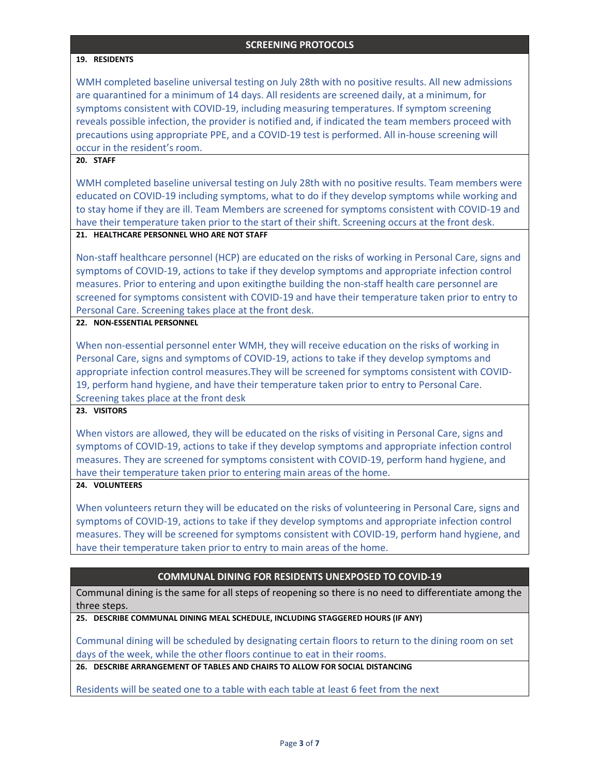#### **19. RESIDENTS**

WMH completed baseline universal testing on July 28th with no positive results. All new admissions are quarantined for a minimum of 14 days. All residents are screened daily, at a minimum, for symptoms consistent with COVID-19, including measuring temperatures. If symptom screening reveals possible infection, the provider is notified and, if indicated the team members proceed with precautions using appropriate PPE, and a COVID-19 test is performed. All in-house screening will occur in the resident's room.

#### **20. STAFF**

WMH completed baseline universal testing on July 28th with no positive results. Team members were educated on COVID-19 including symptoms, what to do if they develop symptoms while working and to stay home if they are ill. Team Members are screened for symptoms consistent with COVID-19 and have their temperature taken prior to the start of their shift. Screening occurs at the front desk.

#### **21. HEALTHCARE PERSONNEL WHO ARE NOT STAFF**

Non-staff healthcare personnel (HCP) are educated on the risks of working in Personal Care, signs and symptoms of COVID-19, actions to take if they develop symptoms and appropriate infection control measures. Prior to entering and upon exitingthe building the non-staff health care personnel are screened for symptoms consistent with COVID-19 and have their temperature taken prior to entry to Personal Care. Screening takes place at the front desk.

## **22. NON-ESSENTIAL PERSONNEL**

When non-essential personnel enter WMH, they will receive education on the risks of working in Personal Care, signs and symptoms of COVID-19, actions to take if they develop symptoms and appropriate infection control measures.They will be screened for symptoms consistent with COVID-19, perform hand hygiene, and have their temperature taken prior to entry to Personal Care. Screening takes place at the front desk

## **23. VISITORS**

When vistors are allowed, they will be educated on the risks of visiting in Personal Care, signs and symptoms of COVID-19, actions to take if they develop symptoms and appropriate infection control measures. They are screened for symptoms consistent with COVID-19, perform hand hygiene, and have their temperature taken prior to entering main areas of the home.

## **24. VOLUNTEERS**

When volunteers return they will be educated on the risks of volunteering in Personal Care, signs and symptoms of COVID-19, actions to take if they develop symptoms and appropriate infection control measures. They will be screened for symptoms consistent with COVID-19, perform hand hygiene, and have their temperature taken prior to entry to main areas of the home.

#### **COMMUNAL DINING FOR RESIDENTS UNEXPOSED TO COVID-19**

Communal dining is the same for all steps of reopening so there is no need to differentiate among the three steps.

**25. DESCRIBE COMMUNAL DINING MEAL SCHEDULE, INCLUDING STAGGERED HOURS (IF ANY)**

Communal dining will be scheduled by designating certain floors to return to the dining room on set days of the week, while the other floors continue to eat in their rooms.

**26. DESCRIBE ARRANGEMENT OF TABLES AND CHAIRS TO ALLOW FOR SOCIAL DISTANCING**

Residents will be seated one to a table with each table at least 6 feet from the next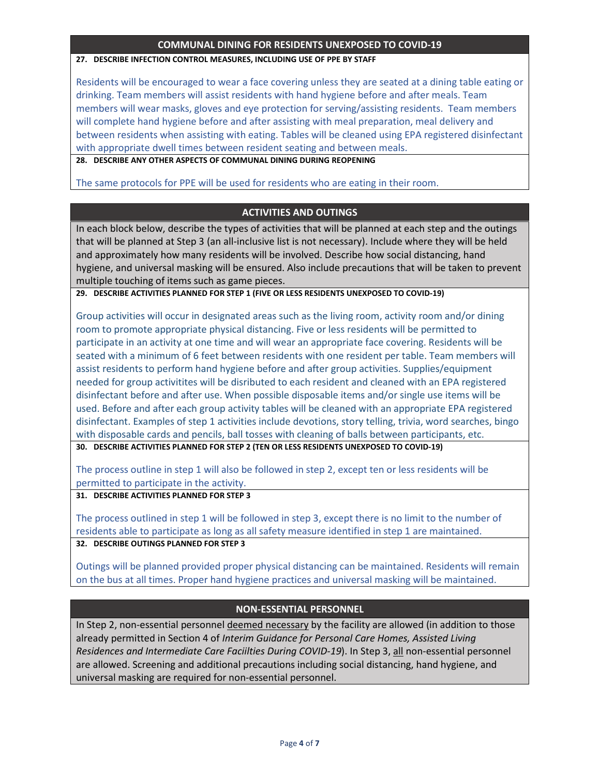## **COMMUNAL DINING FOR RESIDENTS UNEXPOSED TO COVID-19**

### **27. DESCRIBE INFECTION CONTROL MEASURES, INCLUDING USE OF PPE BY STAFF**

Residents will be encouraged to wear a face covering unless they are seated at a dining table eating or drinking. Team members will assist residents with hand hygiene before and after meals. Team members will wear masks, gloves and eye protection for serving/assisting residents. Team members will complete hand hygiene before and after assisting with meal preparation, meal delivery and between residents when assisting with eating. Tables will be cleaned using EPA registered disinfectant with appropriate dwell times between resident seating and between meals.

**28. DESCRIBE ANY OTHER ASPECTS OF COMMUNAL DINING DURING REOPENING**

The same protocols for PPE will be used for residents who are eating in their room.

# **ACTIVITIES AND OUTINGS**

In each block below, describe the types of activities that will be planned at each step and the outings that will be planned at Step 3 (an all-inclusive list is not necessary). Include where they will be held and approximately how many residents will be involved. Describe how social distancing, hand hygiene, and universal masking will be ensured. Also include precautions that will be taken to prevent multiple touching of items such as game pieces.

**29. DESCRIBE ACTIVITIES PLANNED FOR STEP 1 (FIVE OR LESS RESIDENTS UNEXPOSED TO COVID-19)**

Group activities will occur in designated areas such as the living room, activity room and/or dining room to promote appropriate physical distancing. Five or less residents will be permitted to participate in an activity at one time and will wear an appropriate face covering. Residents will be seated with a minimum of 6 feet between residents with one resident per table. Team members will assist residents to perform hand hygiene before and after group activities. Supplies/equipment needed for group activitites will be disributed to each resident and cleaned with an EPA registered disinfectant before and after use. When possible disposable items and/or single use items will be used. Before and after each group activity tables will be cleaned with an appropriate EPA registered disinfectant. Examples of step 1 activities include devotions, story telling, trivia, word searches, bingo with disposable cards and pencils, ball tosses with cleaning of balls between participants, etc.

**30. DESCRIBE ACTIVITIES PLANNED FOR STEP 2 (TEN OR LESS RESIDENTS UNEXPOSED TO COVID-19)**

The process outline in step 1 will also be followed in step 2, except ten or less residents will be permitted to participate in the activity.

**31. DESCRIBE ACTIVITIES PLANNED FOR STEP 3**

The process outlined in step 1 will be followed in step 3, except there is no limit to the number of residents able to participate as long as all safety measure identified in step 1 are maintained.

**32. DESCRIBE OUTINGS PLANNED FOR STEP 3**

Outings will be planned provided proper physical distancing can be maintained. Residents will remain on the bus at all times. Proper hand hygiene practices and universal masking will be maintained.

# **NON-ESSENTIAL PERSONNEL**

In Step 2, non-essential personnel deemed necessary by the facility are allowed (in addition to those already permitted in Section 4 of *Interim Guidance for Personal Care Homes, Assisted Living Residences and Intermediate Care Faciilties During COVID-19*). In Step 3, all non-essential personnel are allowed. Screening and additional precautions including social distancing, hand hygiene, and universal masking are required for non-essential personnel.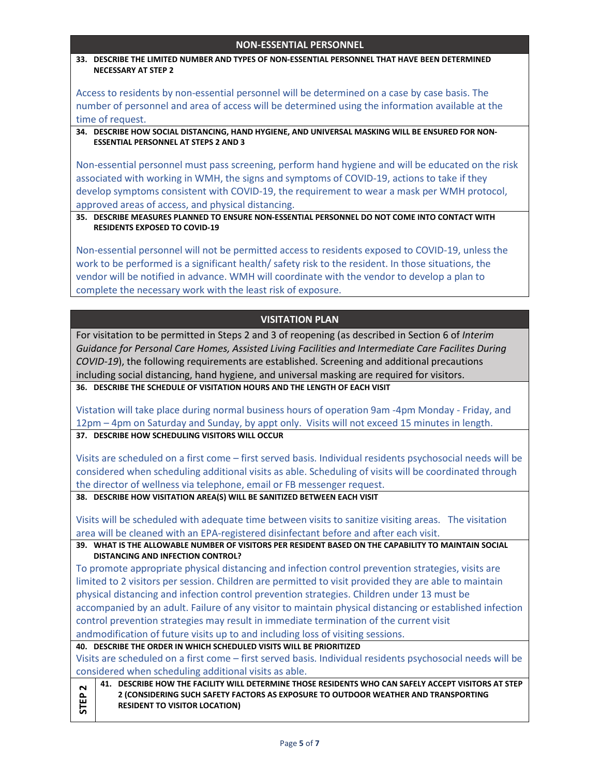## **NON-ESSENTIAL PERSONNEL**

**33. DESCRIBE THE LIMITED NUMBER AND TYPES OF NON-ESSENTIAL PERSONNEL THAT HAVE BEEN DETERMINED NECESSARY AT STEP 2**

Access to residents by non-essential personnel will be determined on a case by case basis. The number of personnel and area of access will be determined using the information available at the time of request.

**34. DESCRIBE HOW SOCIAL DISTANCING, HAND HYGIENE, AND UNIVERSAL MASKING WILL BE ENSURED FOR NON-ESSENTIAL PERSONNEL AT STEPS 2 AND 3**

Non-essential personnel must pass screening, perform hand hygiene and will be educated on the risk associated with working in WMH, the signs and symptoms of COVID-19, actions to take if they develop symptoms consistent with COVID-19, the requirement to wear a mask per WMH protocol, approved areas of access, and physical distancing.

## **35. DESCRIBE MEASURES PLANNED TO ENSURE NON-ESSENTIAL PERSONNEL DO NOT COME INTO CONTACT WITH RESIDENTS EXPOSED TO COVID-19**

Non-essential personnel will not be permitted access to residents exposed to COVID-19, unless the work to be performed is a significant health/ safety risk to the resident. In those situations, the vendor will be notified in advance. WMH will coordinate with the vendor to develop a plan to complete the necessary work with the least risk of exposure.

## **VISITATION PLAN**

For visitation to be permitted in Steps 2 and 3 of reopening (as described in Section 6 of *Interim Guidance for Personal Care Homes, Assisted Living Facilities and Intermediate Care Facilites During COVID-19*), the following requirements are established. Screening and additional precautions including social distancing, hand hygiene, and universal masking are required for visitors. **36. DESCRIBE THE SCHEDULE OF VISITATION HOURS AND THE LENGTH OF EACH VISIT**

Vistation will take place during normal business hours of operation 9am -4pm Monday - Friday, and 12pm – 4pm on Saturday and Sunday, by appt only. Visits will not exceed 15 minutes in length. **37. DESCRIBE HOW SCHEDULING VISITORS WILL OCCUR**

Visits are scheduled on a first come – first served basis. Individual residents psychosocial needs will be considered when scheduling additional visits as able. Scheduling of visits will be coordinated through the director of wellness via telephone, email or FB messenger request.

**38. DESCRIBE HOW VISITATION AREA(S) WILL BE SANITIZED BETWEEN EACH VISIT**

Visits will be scheduled with adequate time between visits to sanitize visiting areas. The visitation area will be cleaned with an EPA-registered disinfectant before and after each visit.

**39. WHAT IS THE ALLOWABLE NUMBER OF VISITORS PER RESIDENT BASED ON THE CAPABILITY TO MAINTAIN SOCIAL DISTANCING AND INFECTION CONTROL?**

To promote appropriate physical distancing and infection control prevention strategies, visits are limited to 2 visitors per session. Children are permitted to visit provided they are able to maintain physical distancing and infection control prevention strategies. Children under 13 must be accompanied by an adult. Failure of any visitor to maintain physical distancing or established infection control prevention strategies may result in immediate termination of the current visit andmodification of future visits up to and including loss of visiting sessions.

**40. DESCRIBE THE ORDER IN WHICH SCHEDULED VISITS WILL BE PRIORITIZED** 

Visits are scheduled on a first come – first served basis. Individual residents psychosocial needs will be considered when scheduling additional visits as able.

**STEP 2 41. DESCRIBE HOW THE FACILITY WILL DETERMINE THOSE RESIDENTS WHO CAN SAFELY ACCEPT VISITORS AT STEP 2 (CONSIDERING SUCH SAFETY FACTORS AS EXPOSURE TO OUTDOOR WEATHER AND TRANSPORTING RESIDENT TO VISITOR LOCATION)**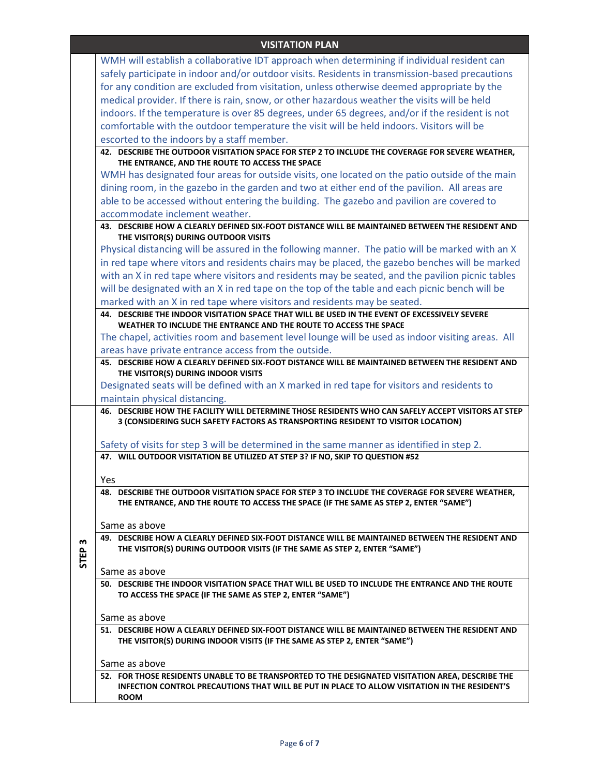# **VISITATION PLAN**

|             | WMH will establish a collaborative IDT approach when determining if individual resident can                                                                                               |
|-------------|-------------------------------------------------------------------------------------------------------------------------------------------------------------------------------------------|
|             | safely participate in indoor and/or outdoor visits. Residents in transmission-based precautions                                                                                           |
|             | for any condition are excluded from visitation, unless otherwise deemed appropriate by the                                                                                                |
|             | medical provider. If there is rain, snow, or other hazardous weather the visits will be held                                                                                              |
|             | indoors. If the temperature is over 85 degrees, under 65 degrees, and/or if the resident is not                                                                                           |
|             | comfortable with the outdoor temperature the visit will be held indoors. Visitors will be                                                                                                 |
|             | escorted to the indoors by a staff member.                                                                                                                                                |
|             | 42. DESCRIBE THE OUTDOOR VISITATION SPACE FOR STEP 2 TO INCLUDE THE COVERAGE FOR SEVERE WEATHER,                                                                                          |
|             | THE ENTRANCE, AND THE ROUTE TO ACCESS THE SPACE                                                                                                                                           |
|             | WMH has designated four areas for outside visits, one located on the patio outside of the main                                                                                            |
|             | dining room, in the gazebo in the garden and two at either end of the pavilion. All areas are                                                                                             |
|             | able to be accessed without entering the building. The gazebo and pavilion are covered to                                                                                                 |
|             | accommodate inclement weather.                                                                                                                                                            |
|             | 43. DESCRIBE HOW A CLEARLY DEFINED SIX-FOOT DISTANCE WILL BE MAINTAINED BETWEEN THE RESIDENT AND<br>THE VISITOR(S) DURING OUTDOOR VISITS                                                  |
|             | Physical distancing will be assured in the following manner. The patio will be marked with an X                                                                                           |
|             | in red tape where vitors and residents chairs may be placed, the gazebo benches will be marked                                                                                            |
|             | with an X in red tape where visitors and residents may be seated, and the pavilion picnic tables                                                                                          |
|             | will be designated with an X in red tape on the top of the table and each picnic bench will be                                                                                            |
|             | marked with an X in red tape where visitors and residents may be seated.                                                                                                                  |
|             | 44. DESCRIBE THE INDOOR VISITATION SPACE THAT WILL BE USED IN THE EVENT OF EXCESSIVELY SEVERE                                                                                             |
|             | WEATHER TO INCLUDE THE ENTRANCE AND THE ROUTE TO ACCESS THE SPACE                                                                                                                         |
|             | The chapel, activities room and basement level lounge will be used as indoor visiting areas. All                                                                                          |
|             | areas have private entrance access from the outside.                                                                                                                                      |
|             | 45. DESCRIBE HOW A CLEARLY DEFINED SIX-FOOT DISTANCE WILL BE MAINTAINED BETWEEN THE RESIDENT AND<br>THE VISITOR(S) DURING INDOOR VISITS                                                   |
|             | Designated seats will be defined with an X marked in red tape for visitors and residents to                                                                                               |
|             | maintain physical distancing.                                                                                                                                                             |
|             | 46. DESCRIBE HOW THE FACILITY WILL DETERMINE THOSE RESIDENTS WHO CAN SAFELY ACCEPT VISITORS AT STEP                                                                                       |
|             | 3 (CONSIDERING SUCH SAFETY FACTORS AS TRANSPORTING RESIDENT TO VISITOR LOCATION)                                                                                                          |
|             | Safety of visits for step 3 will be determined in the same manner as identified in step 2.                                                                                                |
|             | 47. WILL OUTDOOR VISITATION BE UTILIZED AT STEP 3? IF NO, SKIP TO QUESTION #52                                                                                                            |
|             |                                                                                                                                                                                           |
|             | Yes                                                                                                                                                                                       |
|             | 48. DESCRIBE THE OUTDOOR VISITATION SPACE FOR STEP 3 TO INCLUDE THE COVERAGE FOR SEVERE WEATHER,<br>THE ENTRANCE, AND THE ROUTE TO ACCESS THE SPACE (IF THE SAME AS STEP 2, ENTER "SAME") |
|             |                                                                                                                                                                                           |
|             | Same as above                                                                                                                                                                             |
| m           | 49. DESCRIBE HOW A CLEARLY DEFINED SIX-FOOT DISTANCE WILL BE MAINTAINED BETWEEN THE RESIDENT AND                                                                                          |
| <b>STEP</b> | THE VISITOR(S) DURING OUTDOOR VISITS (IF THE SAME AS STEP 2, ENTER "SAME")                                                                                                                |
|             | Same as above                                                                                                                                                                             |
|             | 50. DESCRIBE THE INDOOR VISITATION SPACE THAT WILL BE USED TO INCLUDE THE ENTRANCE AND THE ROUTE                                                                                          |
|             | TO ACCESS THE SPACE (IF THE SAME AS STEP 2, ENTER "SAME")                                                                                                                                 |
|             |                                                                                                                                                                                           |
|             | Same as above                                                                                                                                                                             |
|             | 51. DESCRIBE HOW A CLEARLY DEFINED SIX-FOOT DISTANCE WILL BE MAINTAINED BETWEEN THE RESIDENT AND<br>THE VISITOR(S) DURING INDOOR VISITS (IF THE SAME AS STEP 2, ENTER "SAME")             |
|             | Same as above                                                                                                                                                                             |
|             | 52. FOR THOSE RESIDENTS UNABLE TO BE TRANSPORTED TO THE DESIGNATED VISITATION AREA, DESCRIBE THE                                                                                          |
|             | INFECTION CONTROL PRECAUTIONS THAT WILL BE PUT IN PLACE TO ALLOW VISITATION IN THE RESIDENT'S<br><b>ROOM</b>                                                                              |